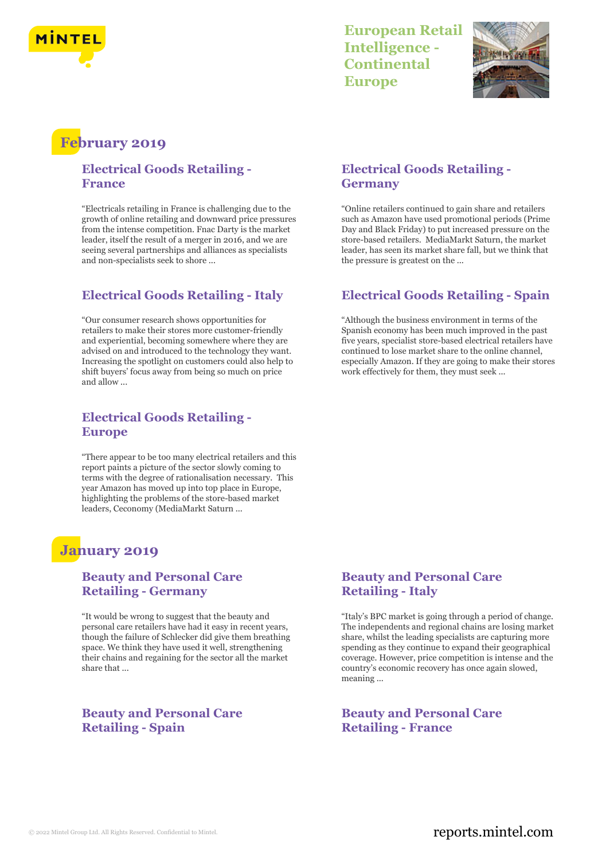

# **European Retail Intelligence - Continental Europe**



# **February 2019**

## **Electrical Goods Retailing - France**

"Electricals retailing in France is challenging due to the growth of online retailing and downward price pressures from the intense competition. Fnac Darty is the market leader, itself the result of a merger in 2016, and we are seeing several partnerships and alliances as specialists and non-specialists seek to shore ...

# **Electrical Goods Retailing - Italy**

"Our consumer research shows opportunities for retailers to make their stores more customer-friendly and experiential, becoming somewhere where they are advised on and introduced to the technology they want. Increasing the spotlight on customers could also help to shift buyers' focus away from being so much on price and allow ...

## **Electrical Goods Retailing - Europe**

"There appear to be too many electrical retailers and this report paints a picture of the sector slowly coming to terms with the degree of rationalisation necessary. This year Amazon has moved up into top place in Europe, highlighting the problems of the store-based market leaders, Ceconomy (MediaMarkt Saturn ...

# **January 2019**

#### **Beauty and Personal Care Retailing - Germany**

"It would be wrong to suggest that the beauty and personal care retailers have had it easy in recent years, though the failure of Schlecker did give them breathing space. We think they have used it well, strengthening their chains and regaining for the sector all the market share that ...

#### **Beauty and Personal Care Retailing - Spain**

# **Electrical Goods Retailing - Germany**

"Online retailers continued to gain share and retailers such as Amazon have used promotional periods (Prime Day and Black Friday) to put increased pressure on the store-based retailers. MediaMarkt Saturn, the market leader, has seen its market share fall, but we think that the pressure is greatest on the ...

# **Electrical Goods Retailing - Spain**

"Although the business environment in terms of the Spanish economy has been much improved in the past five years, specialist store-based electrical retailers have continued to lose market share to the online channel, especially Amazon. If they are going to make their stores work effectively for them, they must seek ...

## **Beauty and Personal Care Retailing - Italy**

"Italy's BPC market is going through a period of change. The independents and regional chains are losing market share, whilst the leading specialists are capturing more spending as they continue to expand their geographical coverage. However, price competition is intense and the country's economic recovery has once again slowed, meaning ...

## **Beauty and Personal Care Retailing - France**